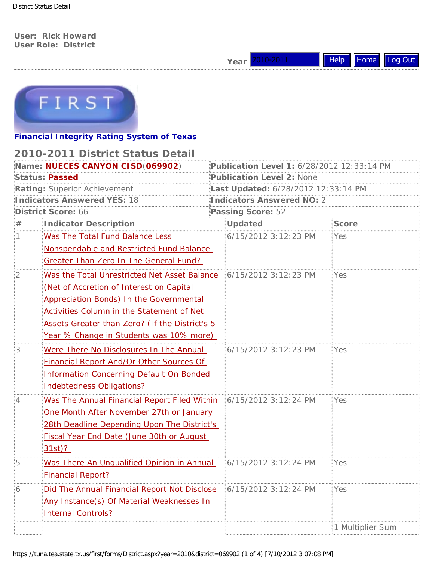District Status Detail

**User: Rick Howard User Role: District**





### **Financial Integrity Rating System of Texas**

## **2010-2011 District Status Detail**

|                                                                                                                  | Year 2010-2011                             | Help             | Home Log Out |  |  |  |
|------------------------------------------------------------------------------------------------------------------|--------------------------------------------|------------------|--------------|--|--|--|
|                                                                                                                  |                                            |                  |              |  |  |  |
| FIRST                                                                                                            |                                            |                  |              |  |  |  |
| <b>Financial Integrity Rating System of Texas</b>                                                                |                                            |                  |              |  |  |  |
| 2010-2011 District Status Detail                                                                                 |                                            |                  |              |  |  |  |
| Name: NUECES CANYON CISD(069902)                                                                                 | Publication Level 1: 6/28/2012 12:33:14 PM |                  |              |  |  |  |
| <b>Status: Passed</b>                                                                                            | Publication Level 2: None                  |                  |              |  |  |  |
| Rating: Superior Achievement                                                                                     | Last Updated: 6/28/2012 12:33:14 PM        |                  |              |  |  |  |
| Indicators Answered YES: 18                                                                                      | Indicators Answered NO: 2                  |                  |              |  |  |  |
| District Score: 66                                                                                               | Passing Score: 52<br>———————————————       |                  |              |  |  |  |
| Indicator Description                                                                                            | Updated                                    | <b>Score</b>     |              |  |  |  |
| Was The Total Fund Balance Less                                                                                  | 6/15/2012 3:12:23 PM                       | :Yes             |              |  |  |  |
| Nonspendable and Restricted Fund Balance                                                                         |                                            |                  |              |  |  |  |
| Greater Than Zero In The General Fund?                                                                           |                                            |                  |              |  |  |  |
| Was the Total Unrestricted Net Asset Balance \$6/15/2012 3:12:23 PM                                              |                                            | :Yes             |              |  |  |  |
| (Net of Accretion of Interest on Capital                                                                         |                                            |                  |              |  |  |  |
| <b>Appreciation Bonds) In the Governmental</b>                                                                   |                                            |                  |              |  |  |  |
| Activities Column in the Statement of Net                                                                        |                                            |                  |              |  |  |  |
| Assets Greater than Zero? (If the District's 5                                                                   |                                            |                  |              |  |  |  |
|                                                                                                                  | Year % Change in Students was 10% more)    |                  |              |  |  |  |
| Were There No Disclosures In The Annual                                                                          | 6/15/2012 3:12:23 PM                       | ≣Yes             |              |  |  |  |
| Financial Report And/Or Other Sources Of                                                                         |                                            |                  |              |  |  |  |
| Information Concerning Default On Bonded                                                                         |                                            |                  |              |  |  |  |
| <b>Indebtedness Obligations?</b>                                                                                 |                                            |                  |              |  |  |  |
| Was The Annual Financial Report Filed Within 16/15/2012 3:12:24 PM<br>:4                                         |                                            | :Yes             |              |  |  |  |
| One Month After November 27th or January                                                                         |                                            |                  |              |  |  |  |
| 28th Deadline Depending Upon The District's                                                                      |                                            |                  |              |  |  |  |
| Fiscal Year End Date (June 30th or August                                                                        |                                            |                  |              |  |  |  |
| $31st$ ?                                                                                                         |                                            |                  |              |  |  |  |
| :5<br>Was There An Unqualified Opinion in Annual                                                                 | 6/15/2012 3:12:24 PM                       | :Yes             |              |  |  |  |
| <b>Financial Report?</b>                                                                                         |                                            |                  |              |  |  |  |
| Did The Annual Financial Report Not Disclose<br>:6                                                               | 6/15/2012 3:12:24 PM                       | :Yes             |              |  |  |  |
| Any Instance(s) Of Material Weaknesses In                                                                        |                                            |                  |              |  |  |  |
| <b>Internal Controls?</b>                                                                                        |                                            |                  |              |  |  |  |
|                                                                                                                  |                                            | 1 Multiplier Sum |              |  |  |  |
|                                                                                                                  |                                            |                  |              |  |  |  |
| https://tuna.tea.state.tx.us/first/forms/District.aspx?year=2010&district=069902 (1 of 4) [7/10/2012 3:07:08 PM] |                                            |                  |              |  |  |  |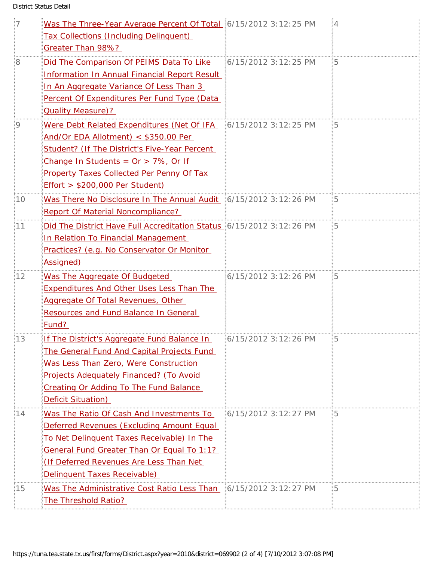District Status Detail

| $\frac{1}{2}$   | Was The Three-Year Average Percent Of Total 6/15/2012 3:12:25 PM     |                      |                                     |
|-----------------|----------------------------------------------------------------------|----------------------|-------------------------------------|
|                 | <b>Tax Collections (Including Delinquent)</b>                        |                      |                                     |
|                 | Greater Than 98%?                                                    |                      |                                     |
| :8              | Did The Comparison Of PEIMS Data To Like                             | 6/15/2012 3:12:25 PM | 5                                   |
|                 | <b>Information In Annual Financial Report Result</b>                 |                      | ∛4<br>5<br>5<br>፤5<br>:5<br>85<br>5 |
|                 | In An Aggregate Variance Of Less Than 3                              |                      |                                     |
|                 | Percent Of Expenditures Per Fund Type (Data                          |                      |                                     |
|                 | <b>Quality Measure)?</b>                                             |                      |                                     |
| 9               | Were Debt Related Expenditures (Net Of IFA 6/15/2012 3:12:25 PM      |                      |                                     |
|                 | And/Or EDA Allotment) < \$350.00 Per                                 |                      |                                     |
|                 | Student? (If The District's Five-Year Percent                        |                      |                                     |
|                 | Change In Students = $Or > 7\%$ , Or If                              |                      |                                     |
|                 | Property Taxes Collected Per Penny Of Tax                            |                      |                                     |
|                 | $Effort > $200,000$ Per Student)                                     |                      |                                     |
| :10             | Was There No Disclosure In The Annual Audit :: 6/15/2012 3:12:26 PM  |                      |                                     |
|                 | Report Of Material Noncompliance?                                    |                      |                                     |
| :11             | Did The District Have Full Accreditation Status 6/15/2012 3:12:26 PM |                      |                                     |
|                 | In Relation To Financial Management                                  |                      |                                     |
|                 | Practices? (e.g. No Conservator Or Monitor                           |                      |                                     |
|                 | Assigned)                                                            |                      |                                     |
| :12             | Was The Aggregate Of Budgeted                                        | 6/15/2012 3:12:26 PM |                                     |
|                 | <b>Expenditures And Other Uses Less Than The</b>                     |                      |                                     |
|                 | Aggregate Of Total Revenues, Other                                   |                      |                                     |
|                 | Resources and Fund Balance In General                                |                      |                                     |
|                 | Fund?                                                                |                      |                                     |
| $\frac{1}{2}13$ | If The District's Aggregate Fund Balance In                          | 6/15/2012 3:12:26 PM |                                     |
|                 | The General Fund And Capital Projects Fund                           |                      |                                     |
|                 | Was Less Than Zero, Were Construction                                |                      |                                     |
|                 | Projects Adequately Financed? (To Avoid                              |                      |                                     |
|                 | <b>Creating Or Adding To The Fund Balance</b>                        |                      |                                     |
|                 | Deficit Situation)                                                   |                      |                                     |
| :14             | Was The Ratio Of Cash And Investments To                             | 6/15/2012 3:12:27 PM |                                     |
|                 | Deferred Revenues (Excluding Amount Equal                            |                      |                                     |
|                 | To Net Delinquent Taxes Receivable) In The                           |                      |                                     |
|                 | General Fund Greater Than Or Equal To 1:1?                           |                      |                                     |
|                 | (If Deferred Revenues Are Less Than Net                              |                      |                                     |
|                 | Delinquent Taxes Receivable)                                         |                      |                                     |
| :15             | Was The Administrative Cost Ratio Less Than : 16/15/2012 3:12:27 PM  |                      | 5                                   |
|                 | The Threshold Ratio?                                                 |                      |                                     |
|                 |                                                                      |                      |                                     |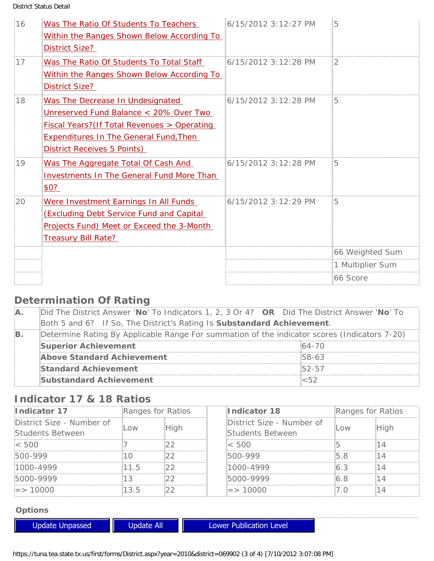District Status Detail

| $\frac{1}{2}$ 16 | Was The Ratio Of Students To Teachers<br>Within the Ranges Shown Below According To<br><b>District Size?</b>                                                                                                      | 6/15/2012 3:12:27 PM  | 肟                             |
|------------------|-------------------------------------------------------------------------------------------------------------------------------------------------------------------------------------------------------------------|-----------------------|-------------------------------|
| :17              | Was The Ratio Of Students To Total Staff<br>Within the Ranges Shown Below According To<br>District Size?                                                                                                          | 6/15/2012 3:12:28 PM  | 2                             |
| :18              | Was The Decrease In Undesignated<br>Unreserved Fund Balance < 20% Over Two<br><b>Fiscal Years?</b> (If Total Revenues > Operating<br><b>Expenditures In The General Fund, Then</b><br>District Receives 5 Points) | :6/15/2012 3:12:28 PM |                               |
| :19              | Was The Aggregate Total Of Cash And<br>Investments In The General Fund More Than<br>\$0?                                                                                                                          | 6/15/2012 3:12:28 PM  | ៖5                            |
| :20              | Were Investment Earnings In All Funds<br><b>(Excluding Debt Service Fund and Capital</b><br>Projects Fund) Meet or Exceed the 3-Month<br><b>Treasury Bill Rate?</b>                                               | 6/15/2012 3:12:29 PM  | 5                             |
|                  |                                                                                                                                                                                                                   |                       | 66 Weighted Sum               |
|                  |                                                                                                                                                                                                                   |                       | 1 Multiplier Sum<br>:66 Score |

# **Determination Of Rating**

| ÷А. | Did The District Answer 'No' To Indicators 1, 2, 3 Or 4? OR Did The District Answer 'No' To   |            |  |  |  |
|-----|-----------------------------------------------------------------------------------------------|------------|--|--|--|
|     | Both 5 and 6? If So, The District's Rating Is Substandard Achievement.                        |            |  |  |  |
|     | ¡Determine Rating By Applicable Range For summation of the indicator scores (Indicators 7-20) |            |  |  |  |
|     | Superior Achievement                                                                          | 64-70      |  |  |  |
|     | Above Standard Achievement                                                                    | 58-63      |  |  |  |
|     | <b>Standard Achievement</b>                                                                   | $.52 - 57$ |  |  |  |
|     | <b>Substandard Achievement</b>                                                                |            |  |  |  |

# **Indicator 17 & 18 Ratios**

| Indicator 17              | Ranges for Ratios |  | Indicator 18              | Ranges for Ratios |  |
|---------------------------|-------------------|--|---------------------------|-------------------|--|
| District Size - Number of |                   |  | District Size - Number of |                   |  |
| Students Between          |                   |  | Students Between          |                   |  |
| - 500                     |                   |  |                           |                   |  |
| :500-999                  |                   |  | NN-999                    |                   |  |
|                           |                   |  |                           |                   |  |
| :5000-9999                |                   |  | ነበበ-9999                  |                   |  |
|                           |                   |  |                           |                   |  |

### **Options**

| Update Unpassed | Jodate All | Lower Publication Level                                                                                          |  |
|-----------------|------------|------------------------------------------------------------------------------------------------------------------|--|
|                 |            |                                                                                                                  |  |
|                 |            | https://tuna.tea.state.tx.us/first/forms/District.aspx?year=2010&district=069902 (3 of 4) [7/10/2012 3:07:08 PM] |  |